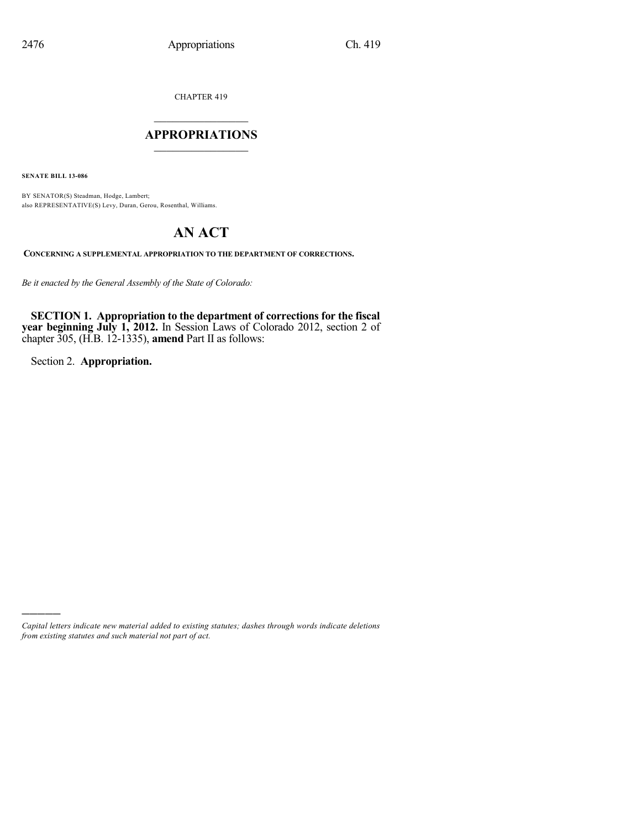CHAPTER 419

## $\mathcal{L}_\text{max}$  . The set of the set of the set of the set of the set of the set of the set of the set of the set of the set of the set of the set of the set of the set of the set of the set of the set of the set of the set **APPROPRIATIONS**  $\_$   $\_$   $\_$   $\_$   $\_$   $\_$   $\_$   $\_$

**SENATE BILL 13-086**

BY SENATOR(S) Steadman, Hodge, Lambert; also REPRESENTATIVE(S) Levy, Duran, Gerou, Rosenthal, Williams.

# **AN ACT**

**CONCERNING A SUPPLEMENTAL APPROPRIATION TO THE DEPARTMENT OF CORRECTIONS.**

*Be it enacted by the General Assembly of the State of Colorado:*

**SECTION 1. Appropriation to the department of corrections for the fiscal year beginning July 1, 2012.** In Session Laws of Colorado 2012, section 2 of chapter 305, (H.B. 12-1335), **amend** Part II as follows:

Section 2. **Appropriation.**

)))))

*Capital letters indicate new material added to existing statutes; dashes through words indicate deletions from existing statutes and such material not part of act.*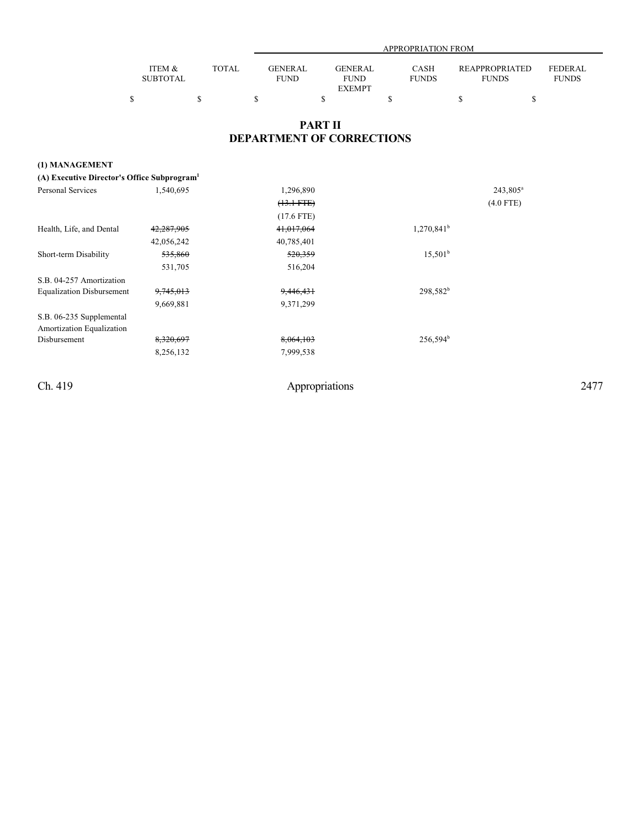|                           |       |                               | APPROPRIATION FROM            |                             |                                |                                |  |  |
|---------------------------|-------|-------------------------------|-------------------------------|-----------------------------|--------------------------------|--------------------------------|--|--|
| ITEM &<br><b>SUBTOTAL</b> | TOTAL | <b>GENERAL</b><br><b>FUND</b> | <b>GENERAL</b><br><b>FUND</b> | <b>CASH</b><br><b>FUNDS</b> | REAPPROPRIATED<br><b>FUNDS</b> | <b>FEDERAL</b><br><b>FUNDS</b> |  |  |
|                           |       |                               | <b>EXEMPT</b>                 |                             |                                |                                |  |  |

## **PART II DEPARTMENT OF CORRECTIONS**

| (1) MANAGEMENT                                          |                      |              |               |                      |
|---------------------------------------------------------|----------------------|--------------|---------------|----------------------|
| (A) Executive Director's Office Subprogram <sup>1</sup> |                      |              |               |                      |
| <b>Personal Services</b>                                | 1,540,695            | 1,296,890    |               | 243,805 <sup>a</sup> |
|                                                         |                      | $(13.1 FTE)$ |               | $(4.0$ FTE)          |
|                                                         |                      | $(17.6$ FTE) |               |                      |
| Health, Life, and Dental                                | 42,287,905           | 41,017,064   | $1,270,841^b$ |                      |
|                                                         | 42,056,242           | 40,785,401   |               |                      |
| Short-term Disability                                   | 535,860              | 520,359      | $15,501^b$    |                      |
|                                                         | 531,705              | 516,204      |               |                      |
| S.B. 04-257 Amortization                                |                      |              |               |                      |
| <b>Equalization Disbursement</b>                        | <del>9,745,013</del> | 9,446,431    | $298,582^b$   |                      |
|                                                         | 9,669,881            | 9,371,299    |               |                      |
| S.B. 06-235 Supplemental<br>Amortization Equalization   |                      |              |               |                      |
| Disbursement                                            | 8,320,697            | 8,064,103    | $256,594^b$   |                      |
|                                                         | 8,256,132            | 7,999,538    |               |                      |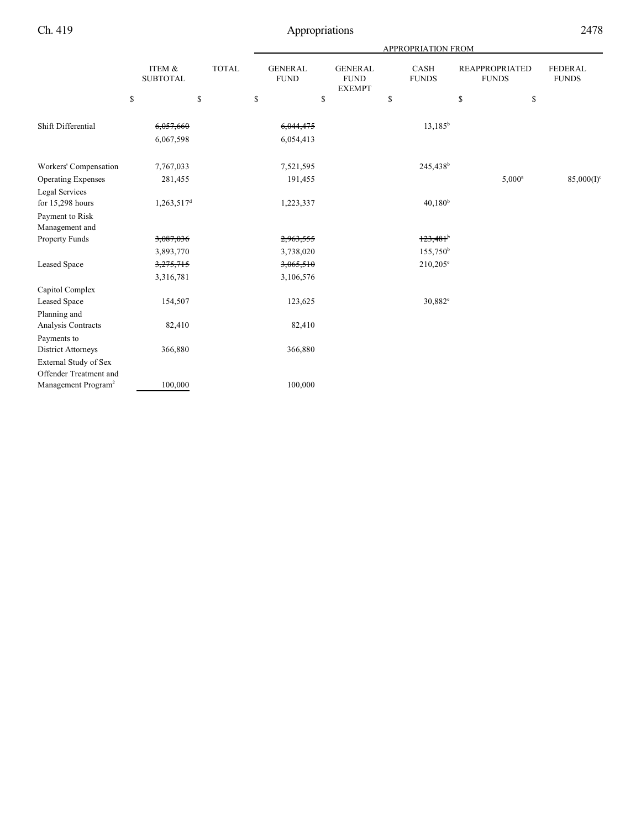|                                   |                           |              | APPROPRIATION FROM            |                                                |                             |                                       |                                |  |
|-----------------------------------|---------------------------|--------------|-------------------------------|------------------------------------------------|-----------------------------|---------------------------------------|--------------------------------|--|
|                                   | ITEM &<br><b>SUBTOTAL</b> | <b>TOTAL</b> | <b>GENERAL</b><br><b>FUND</b> | <b>GENERAL</b><br><b>FUND</b><br><b>EXEMPT</b> | <b>CASH</b><br><b>FUNDS</b> | <b>REAPPROPRIATED</b><br><b>FUNDS</b> | <b>FEDERAL</b><br><b>FUNDS</b> |  |
|                                   | \$                        | $\mathbb{S}$ | $\mathbb{S}$                  | \$                                             | \$                          | \$<br>\$                              |                                |  |
| Shift Differential                | 6,057,660                 |              | 6,044,475                     |                                                | $13,185^b$                  |                                       |                                |  |
|                                   | 6,067,598                 |              | 6,054,413                     |                                                |                             |                                       |                                |  |
| Workers' Compensation             | 7,767,033                 |              | 7,521,595                     |                                                | 245,438 <sup>b</sup>        |                                       |                                |  |
| <b>Operating Expenses</b>         | 281,455                   |              | 191,455                       |                                                |                             | $5,000^a$                             | $85,000(I)^c$                  |  |
| Legal Services                    |                           |              |                               |                                                |                             |                                       |                                |  |
| for 15,298 hours                  | 1,263,517 <sup>d</sup>    |              | 1,223,337                     |                                                | $40,180^{b}$                |                                       |                                |  |
| Payment to Risk<br>Management and |                           |              |                               |                                                |                             |                                       |                                |  |
| Property Funds                    | 3,087,036                 |              | 2,963,555                     |                                                | $123,481$ <sup>b</sup>      |                                       |                                |  |
|                                   | 3,893,770                 |              | 3,738,020                     |                                                | $155,750^{\rm b}$           |                                       |                                |  |
| Leased Space                      | 3,275,715                 |              | 3,065,510                     |                                                | $210,205^{\circ}$           |                                       |                                |  |
|                                   | 3,316,781                 |              | 3,106,576                     |                                                |                             |                                       |                                |  |
| Capitol Complex                   |                           |              |                               |                                                |                             |                                       |                                |  |
| Leased Space                      | 154,507                   |              | 123,625                       |                                                | $30,882^e$                  |                                       |                                |  |
| Planning and                      |                           |              |                               |                                                |                             |                                       |                                |  |
| Analysis Contracts                | 82,410                    |              | 82,410                        |                                                |                             |                                       |                                |  |
| Payments to                       |                           |              |                               |                                                |                             |                                       |                                |  |
| District Attorneys                | 366,880                   |              | 366,880                       |                                                |                             |                                       |                                |  |
| External Study of Sex             |                           |              |                               |                                                |                             |                                       |                                |  |
| Offender Treatment and            |                           |              |                               |                                                |                             |                                       |                                |  |
| Management Program <sup>2</sup>   | 100,000                   |              | 100,000                       |                                                |                             |                                       |                                |  |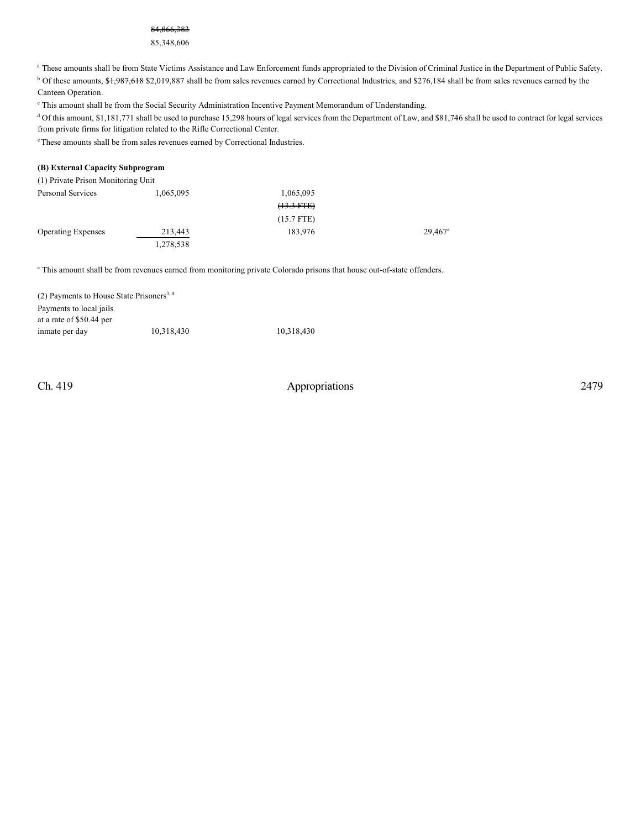#### 84,866,383

#### 85,348,606

<sup>a</sup> These amounts shall be from State Victims Assistance and Law Enforcement funds appropriated to the Division of Criminal Justice in the Department of Public Safety.

<sup>b</sup> Of these amounts, \$1,987,618 \$2,019,887 shall be from sales revenues earned by Correctional Industries, and \$276,184 shall be from sales revenues earned by the Canteen Operation.

<sup>e</sup> This amount shall be from the Social Security Administration Incentive Payment Memorandum of Understanding.

<sup>d</sup> Of this amount, \$1,181,771 shall be used to purchase 15,298 hours of legal services from the Department of Law, and \$81,746 shall be used to contract for legal services from private firms for litigation related to the Rifle Correctional Center.

<sup>e</sup> These amounts shall be from sales revenues earned by Correctional Industries.

#### **(B) External Capacity Subprogram**

| (1) Private Prison Monitoring Unit |           |              |                       |
|------------------------------------|-----------|--------------|-----------------------|
| Personal Services                  | 1,065,095 | 1,065,095    |                       |
|                                    |           | $(13.3 FTE)$ |                       |
|                                    |           | $(15.7$ FTE) |                       |
| <b>Operating Expenses</b>          | 213,443   | 183,976      | $29.467$ <sup>a</sup> |
|                                    | 1,278,538 |              |                       |

<sup>a</sup> This amount shall be from revenues earned from monitoring private Colorado prisons that house out-of-state offenders.

| (2) Payments to House State Prisoners <sup>3, 4</sup> |            |            |
|-------------------------------------------------------|------------|------------|
| Payments to local jails                               |            |            |
| at a rate of \$50.44 per                              |            |            |
| inmate per day                                        | 10.318.430 | 10.318.430 |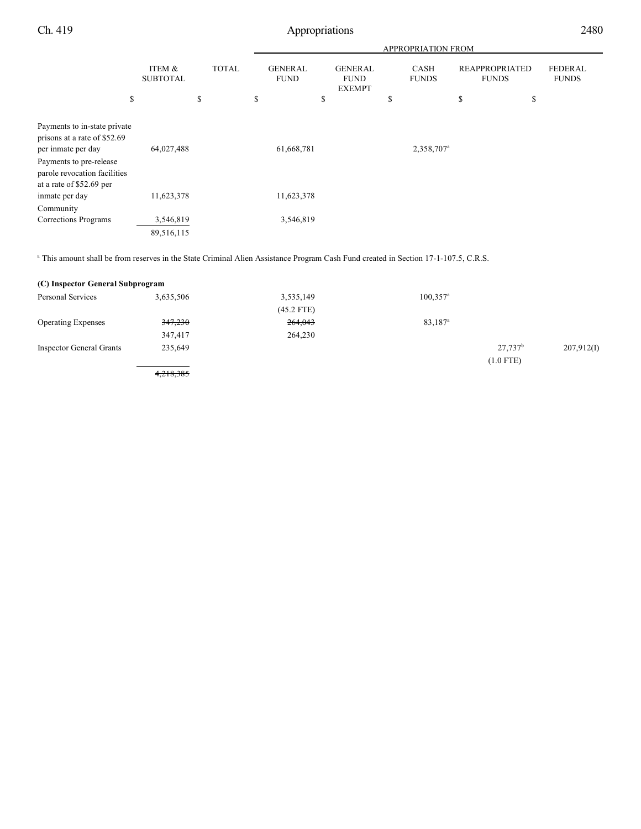|                                                                                                                                                                           |                           |              | <b>APPROPRIATION FROM</b>     |                                                |                        |                                       |                                |
|---------------------------------------------------------------------------------------------------------------------------------------------------------------------------|---------------------------|--------------|-------------------------------|------------------------------------------------|------------------------|---------------------------------------|--------------------------------|
|                                                                                                                                                                           | ITEM &<br><b>SUBTOTAL</b> | <b>TOTAL</b> | <b>GENERAL</b><br><b>FUND</b> | <b>GENERAL</b><br><b>FUND</b><br><b>EXEMPT</b> | CASH<br><b>FUNDS</b>   | <b>REAPPROPRIATED</b><br><b>FUNDS</b> | <b>FEDERAL</b><br><b>FUNDS</b> |
| \$                                                                                                                                                                        |                           | \$           | \$                            | \$                                             | \$                     | \$<br>\$                              |                                |
| Payments to in-state private<br>prisons at a rate of \$52.69<br>per inmate per day<br>Payments to pre-release<br>parole revocation facilities<br>at a rate of \$52.69 per | 64,027,488                |              | 61,668,781                    |                                                | 2,358,707 <sup>a</sup> |                                       |                                |
| inmate per day                                                                                                                                                            | 11,623,378                |              | 11,623,378                    |                                                |                        |                                       |                                |
| Community<br><b>Corrections Programs</b>                                                                                                                                  | 3,546,819<br>89,516,115   |              | 3,546,819                     |                                                |                        |                                       |                                |

<sup>a</sup> This amount shall be from reserves in the State Criminal Alien Assistance Program Cash Fund created in Section 17-1-107.5, C.R.S.

| (C) Inspector General Subprogram |           |              |                        |                     |            |
|----------------------------------|-----------|--------------|------------------------|---------------------|------------|
| Personal Services                | 3,635,506 | 3,535,149    | $100,357$ <sup>a</sup> |                     |            |
|                                  |           | $(45.2$ FTE) |                        |                     |            |
| <b>Operating Expenses</b>        | 347,230   | 264,043      | 83,187 <sup>a</sup>    |                     |            |
|                                  | 347,417   | 264,230      |                        |                     |            |
| <b>Inspector General Grants</b>  | 235,649   |              |                        | 27.737 <sup>b</sup> | 207,912(I) |
|                                  |           |              |                        | $(1.0$ FTE)         |            |
|                                  | 4,218,385 |              |                        |                     |            |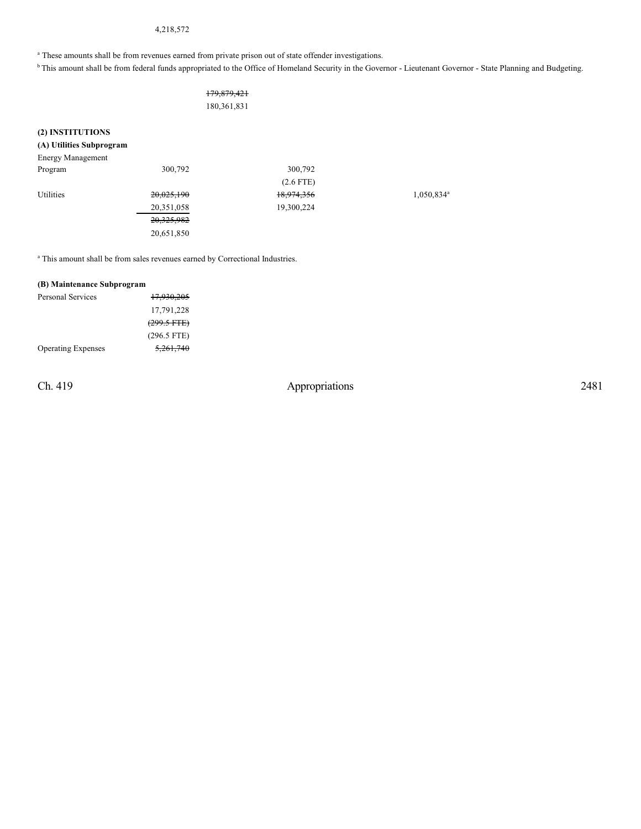## 4,218,572

<sup>a</sup> These amounts shall be from revenues earned from private prison out of state offender investigations.

<sup>b</sup> This amount shall be from federal funds appropriated to the Office of Homeland Security in the Governor - Lieutenant Governor - State Planning and Budgeting.

| 179,879,421   |  |
|---------------|--|
| 180, 361, 831 |  |

### **(2) INSTITUTIONS**

## **(A) Utilities Subprogram**

| <b>Energy Management</b> |              |             |                        |
|--------------------------|--------------|-------------|------------------------|
| Program                  | 300,792      | 300,792     |                        |
|                          |              | $(2.6$ FTE) |                        |
| Utilities                | 20,025,190   | 18,974,356  | 1,050,834 <sup>a</sup> |
|                          | 20,351,058   | 19,300,224  |                        |
|                          | 20, 325, 982 |             |                        |
|                          | 20,651,850   |             |                        |

<sup>a</sup> This amount shall be from sales revenues earned by Correctional Industries.

#### **(B) Maintenance Subprogram**

| Personal Services         | 17,930,205            |
|---------------------------|-----------------------|
|                           | 17,791,228            |
|                           | $(299.5 \text{ FFE})$ |
|                           | $(296.5$ FTE)         |
| <b>Operating Expenses</b> | 5.261.740             |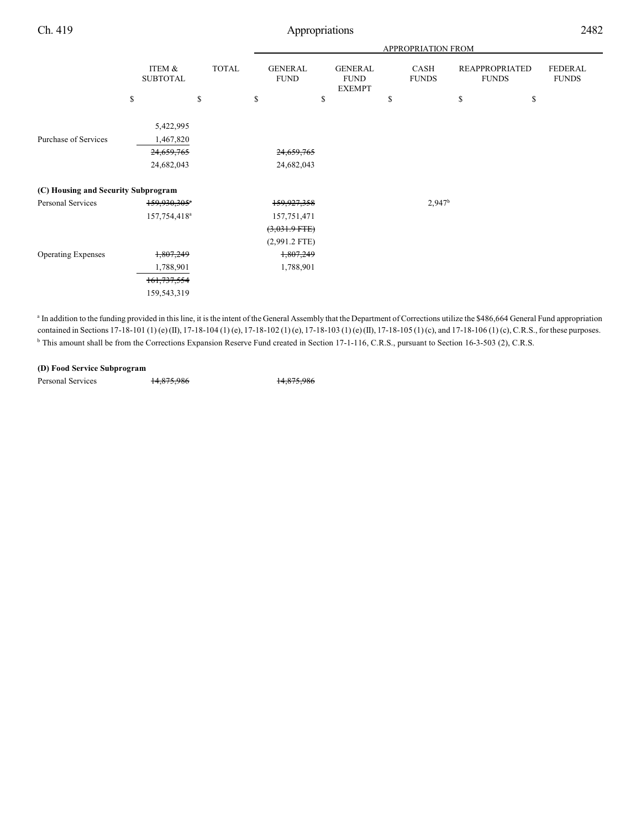|                                     |                                                    |              | <b>APPROPRIATION FROM</b>     |                                                |                      |                                       |                                |
|-------------------------------------|----------------------------------------------------|--------------|-------------------------------|------------------------------------------------|----------------------|---------------------------------------|--------------------------------|
|                                     | ITEM &<br><b>SUBTOTAL</b>                          | <b>TOTAL</b> | <b>GENERAL</b><br><b>FUND</b> | <b>GENERAL</b><br><b>FUND</b><br><b>EXEMPT</b> | CASH<br><b>FUNDS</b> | <b>REAPPROPRIATED</b><br><b>FUNDS</b> | <b>FEDERAL</b><br><b>FUNDS</b> |
|                                     | \$                                                 | \$           | \$                            | \$                                             | \$                   | \$<br>\$                              |                                |
| Purchase of Services                | 5,422,995<br>1,467,820<br>24,659,765<br>24,682,043 |              | 24,659,765<br>24,682,043      |                                                |                      |                                       |                                |
| (C) Housing and Security Subprogram |                                                    |              |                               |                                                |                      |                                       |                                |
| Personal Services                   | 159,930,305 <sup>a</sup>                           |              | 159,927,358                   |                                                | 2,947 <sup>b</sup>   |                                       |                                |
|                                     | 157,754,418 <sup>a</sup>                           |              | 157,751,471                   |                                                |                      |                                       |                                |
|                                     |                                                    |              | $(3,031.9$ FTE)               |                                                |                      |                                       |                                |
|                                     |                                                    |              | $(2,991.2$ FTE)               |                                                |                      |                                       |                                |
| <b>Operating Expenses</b>           | 1,807,249                                          |              | 1,807,249                     |                                                |                      |                                       |                                |
|                                     | 1,788,901                                          |              | 1,788,901                     |                                                |                      |                                       |                                |
|                                     | 161, 737, 554                                      |              |                               |                                                |                      |                                       |                                |
|                                     | 159,543,319                                        |              |                               |                                                |                      |                                       |                                |

<sup>a</sup> In addition to the funding provided in this line, it is the intent of the General Assembly that the Department of Corrections utilize the \$486,664 General Fund appropriation contained in Sections 17-18-101 (1) (e) (II), 17-18-104 (1) (e), 17-18-102 (1) (e), 17-18-103 (1) (e) (II), 17-18-105 (1) (c), and 17-18-106 (1) (c), C.R.S., for these purposes. <sup>b</sup> This amount shall be from the Corrections Expansion Reserve Fund created in Section 17-1-116, C.R.S., pursuant to Section 16-3-503 (2), C.R.S.

#### **(D) Food Service Subprogram**

Personal Services 14,875,986 14,875,986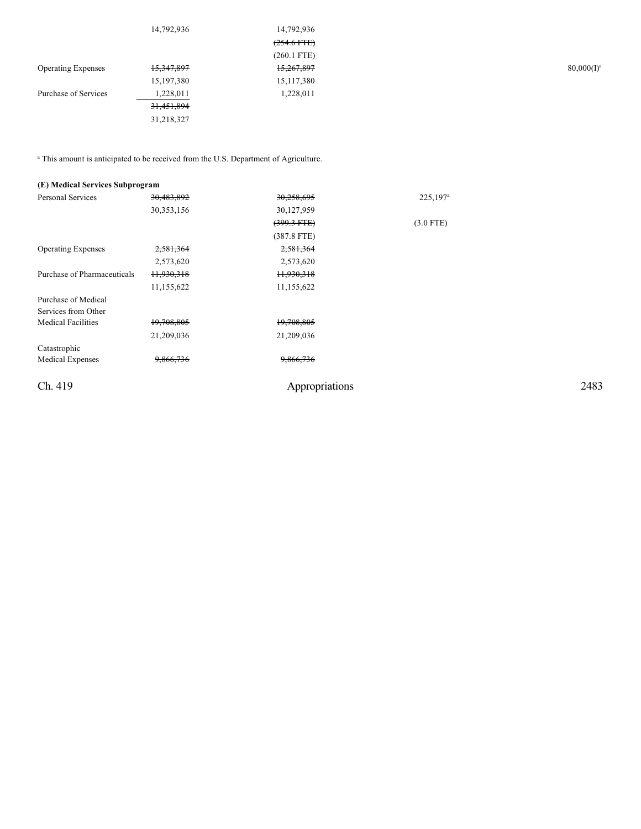| 14,792,936 | 14,792,936    |           |
|------------|---------------|-----------|
|            | $(254.6$ FTE) |           |
|            | $(260.1$ FTE) |           |
| 15,347,897 | 15,267,897    | 80,000(I) |
| 15,197,380 | 15, 117, 380  |           |
| 1,228,011  | 1,228,011     |           |
| 31,451,894 |               |           |
| 31,218,327 |               |           |
|            |               |           |

 $^{\circ}$  This amount is anticipated to be received from the U.S. Department of Agriculture.

| (E) Medical Services Subprogram |              |                       |                      |      |
|---------------------------------|--------------|-----------------------|----------------------|------|
| <b>Personal Services</b>        | 30,483,892   | 30,258,695            | 225,197 <sup>a</sup> |      |
|                                 | 30, 353, 156 | 30,127,959            |                      |      |
|                                 |              | $(399.3 + FEE)$       | $(3.0$ FTE)          |      |
|                                 |              | $(387.8$ FTE)         |                      |      |
| <b>Operating Expenses</b>       | 2,581,364    | 2,581,364             |                      |      |
|                                 | 2,573,620    | 2,573,620             |                      |      |
| Purchase of Pharmaceuticals     | 11,930,318   | <del>11,930,318</del> |                      |      |
|                                 | 11,155,622   | 11,155,622            |                      |      |
| Purchase of Medical             |              |                       |                      |      |
| Services from Other             |              |                       |                      |      |
| <b>Medical Facilities</b>       | 19,708,805   | 19,708,805            |                      |      |
|                                 | 21,209,036   | 21,209,036            |                      |      |
| Catastrophic                    |              |                       |                      |      |
| <b>Medical Expenses</b>         | 9,866,736    | 9,866,736             |                      |      |
| Ch. 419                         |              | Appropriations        |                      | 2483 |
|                                 |              |                       |                      |      |

 $80,000(I)^a$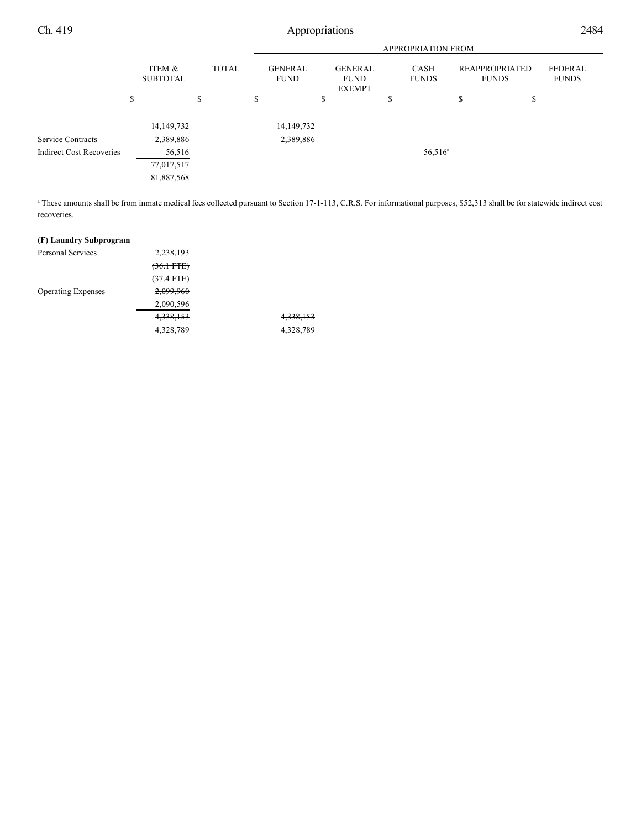|                                 |                           |              |                               |                                                |   | <b>APPROPRIATION FROM</b> |                                       |                                |  |
|---------------------------------|---------------------------|--------------|-------------------------------|------------------------------------------------|---|---------------------------|---------------------------------------|--------------------------------|--|
|                                 | ITEM &<br><b>SUBTOTAL</b> | <b>TOTAL</b> | <b>GENERAL</b><br><b>FUND</b> | <b>GENERAL</b><br><b>FUND</b><br><b>EXEMPT</b> |   | CASH<br><b>FUNDS</b>      | <b>REAPPROPRIATED</b><br><b>FUNDS</b> | <b>FEDERAL</b><br><b>FUNDS</b> |  |
|                                 | \$                        | \$           | \$                            | \$                                             | Ф |                           | \$                                    | \$                             |  |
|                                 | 14, 149, 732              |              | 14, 149, 732                  |                                                |   |                           |                                       |                                |  |
| <b>Service Contracts</b>        | 2,389,886                 |              | 2,389,886                     |                                                |   |                           |                                       |                                |  |
| <b>Indirect Cost Recoveries</b> | 56,516                    |              |                               |                                                |   | $56,516^a$                |                                       |                                |  |
|                                 | 77,017,517                |              |                               |                                                |   |                           |                                       |                                |  |
|                                 | 81,887,568                |              |                               |                                                |   |                           |                                       |                                |  |
|                                 |                           |              |                               |                                                |   |                           |                                       |                                |  |

<sup>a</sup> These amounts shall be from inmate medical fees collected pursuant to Section 17-1-113, C.R.S. For informational purposes, \$52,313 shall be for statewide indirect cost recoveries.

## **(F) Laundry Subprogram**

| <b>Personal Services</b>  | 2,238,193             |           |
|---------------------------|-----------------------|-----------|
|                           | <del>(36.1 FTE)</del> |           |
|                           | $(37.4$ FTE)          |           |
| <b>Operating Expenses</b> | 2,099,960             |           |
|                           | 2,090,596             |           |
|                           | 4,338,153             | 4,338,153 |
|                           | 4,328,789             | 4,328,789 |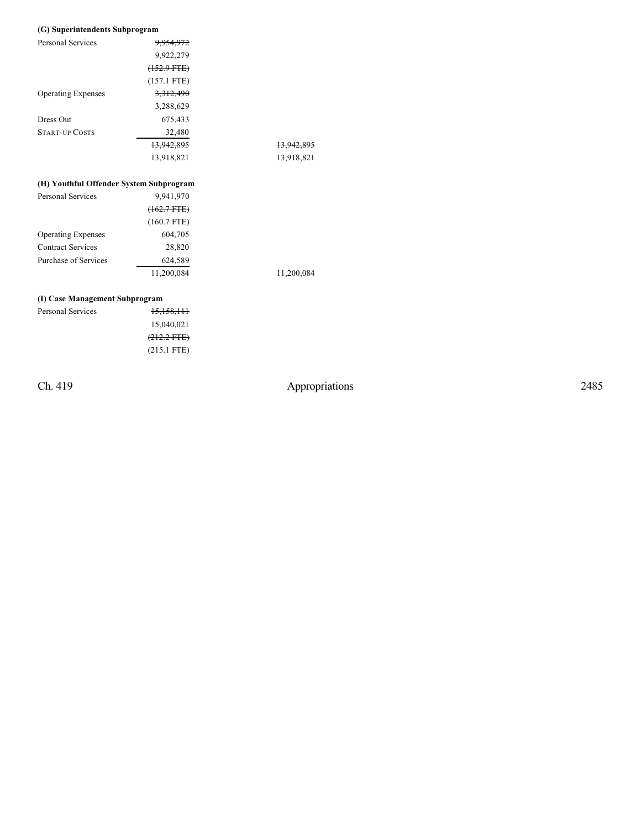#### **(G) Superintendents Subprogra m**

| <b>Personal Services</b>  | 9,954,972              |                       |
|---------------------------|------------------------|-----------------------|
|                           | 9,922,279              |                       |
|                           | <del>(152.9 FTE)</del> |                       |
|                           | $(157.1$ FTE)          |                       |
| <b>Operating Expenses</b> | 3, 312, 490            |                       |
|                           | 3,288,629              |                       |
| Dress Out                 | 675,433                |                       |
| <b>START-UP COSTS</b>     | 32,480                 |                       |
|                           | 13,942,895             | <del>13,942,895</del> |
|                           | 13,918,821             | 13,918,821            |
|                           |                        |                       |

#### **(H) Youthful Offender System Subprogra m**

| <b>Personal Services</b>    | 9,941,970     |
|-----------------------------|---------------|
|                             | $(162.7 FTE)$ |
|                             | $(160.7$ FTE) |
| <b>Operating Expenses</b>   | 604,705       |
| <b>Contract Services</b>    | 28,820        |
| <b>Purchase of Services</b> | 624,589       |
|                             | 11.200.084    |

11,200,084 11,200,084

### **(I) Case Management Subprogram**

| Personal Services | 15,158,111            |
|-------------------|-----------------------|
|                   | 15,040,021            |
|                   | $(212.2 \text{ FFE})$ |
|                   | $(215.1$ FTE)         |

Ch. 419

Appropriations

2 4 8 5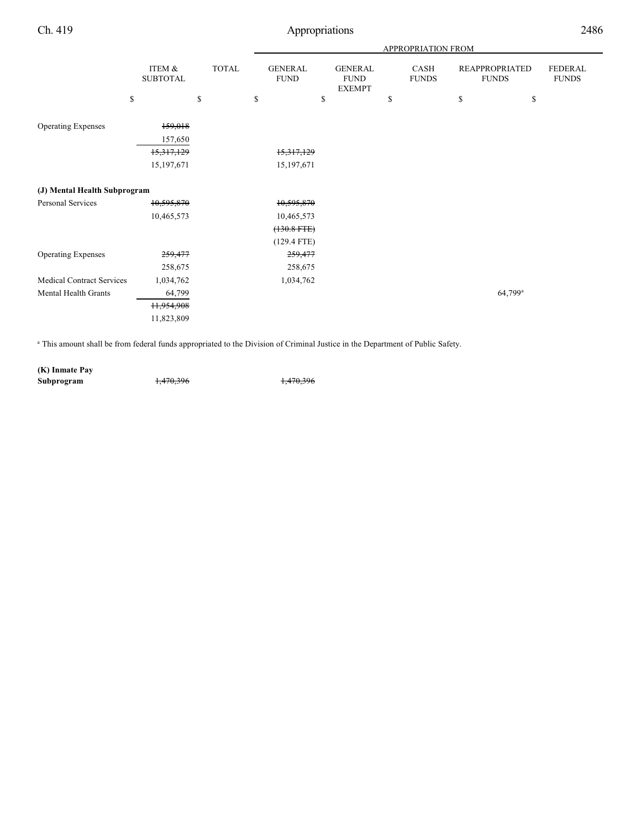|                                  |                           |              |                               |                                                | APPROPRIATION FROM   |                                       |                         |
|----------------------------------|---------------------------|--------------|-------------------------------|------------------------------------------------|----------------------|---------------------------------------|-------------------------|
|                                  | ITEM &<br><b>SUBTOTAL</b> | <b>TOTAL</b> | <b>GENERAL</b><br><b>FUND</b> | <b>GENERAL</b><br><b>FUND</b><br><b>EXEMPT</b> | CASH<br><b>FUNDS</b> | <b>REAPPROPRIATED</b><br><b>FUNDS</b> | FEDERAL<br><b>FUNDS</b> |
|                                  | \$                        | \$           | \$                            | \$                                             | \$                   | \$<br>\$                              |                         |
| <b>Operating Expenses</b>        | 159,018<br>157,650        |              |                               |                                                |                      |                                       |                         |
|                                  | 15,317,129                |              | 15,317,129                    |                                                |                      |                                       |                         |
|                                  | 15,197,671                |              | 15,197,671                    |                                                |                      |                                       |                         |
| (J) Mental Health Subprogram     |                           |              |                               |                                                |                      |                                       |                         |
| <b>Personal Services</b>         | 10,595,870                |              | 10,595,870                    |                                                |                      |                                       |                         |
|                                  | 10,465,573                |              | 10,465,573                    |                                                |                      |                                       |                         |
|                                  |                           |              | $(130.8$ FTE $)$              |                                                |                      |                                       |                         |
|                                  |                           |              | $(129.4$ FTE)                 |                                                |                      |                                       |                         |
| <b>Operating Expenses</b>        | 259,477                   |              | 259,477                       |                                                |                      |                                       |                         |
|                                  | 258,675                   |              | 258,675                       |                                                |                      |                                       |                         |
| <b>Medical Contract Services</b> | 1,034,762                 |              | 1,034,762                     |                                                |                      |                                       |                         |
| Mental Health Grants             | 64,799                    |              |                               |                                                |                      | 64,799 <sup>a</sup>                   |                         |
|                                  | H,954,908                 |              |                               |                                                |                      |                                       |                         |
|                                  | 11,823,809                |              |                               |                                                |                      |                                       |                         |
|                                  |                           |              |                               |                                                |                      |                                       |                         |

<sup>a</sup> This amount shall be from federal funds appropriated to the Division of Criminal Justice in the Department of Public Safety.

**(K) Inmate Pay Subprogram** 1,470,396 1,470,396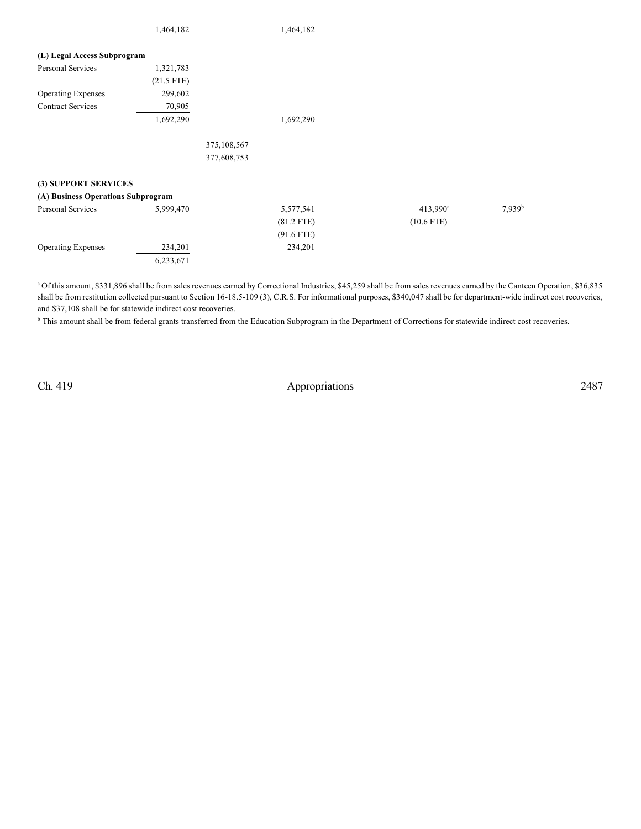|                                    | 1,464,182    |             | 1,464,182    |                   |                    |
|------------------------------------|--------------|-------------|--------------|-------------------|--------------------|
| (L) Legal Access Subprogram        |              |             |              |                   |                    |
| Personal Services                  | 1,321,783    |             |              |                   |                    |
|                                    | $(21.5$ FTE) |             |              |                   |                    |
| <b>Operating Expenses</b>          | 299,602      |             |              |                   |                    |
| <b>Contract Services</b>           | 70,905       |             |              |                   |                    |
|                                    | 1,692,290    |             | 1,692,290    |                   |                    |
|                                    |              |             |              |                   |                    |
|                                    |              | 375,108,567 |              |                   |                    |
|                                    |              | 377,608,753 |              |                   |                    |
| (3) SUPPORT SERVICES               |              |             |              |                   |                    |
| (A) Business Operations Subprogram |              |             |              |                   |                    |
| Personal Services                  | 5,999,470    |             | 5,577,541    | $413,990^{\circ}$ | 7,939 <sup>b</sup> |
|                                    |              |             | $(81.2$ FTE) | $(10.6$ FTE)      |                    |
|                                    |              |             | $(91.6$ FTE) |                   |                    |
| <b>Operating Expenses</b>          | 234,201      |             | 234,201      |                   |                    |
|                                    | 6,233,671    |             |              |                   |                    |

<sup>a</sup> Of this amount, \$331,896 shall be from sales revenues earned by Correctional Industries, \$45,259 shall be from sales revenues earned by the Canteen Operation, \$36,835 shall be from restitution collected pursuant to Section 16-18.5-109 (3), C.R.S. For informational purposes, \$340,047 shall be for department-wide indirect cost recoveries, and \$37,108 shall be for statewide indirect cost recoveries.

<sup>b</sup> This amount shall be from federal grants transferred from the Education Subprogram in the Department of Corrections for statewide indirect cost recoveries.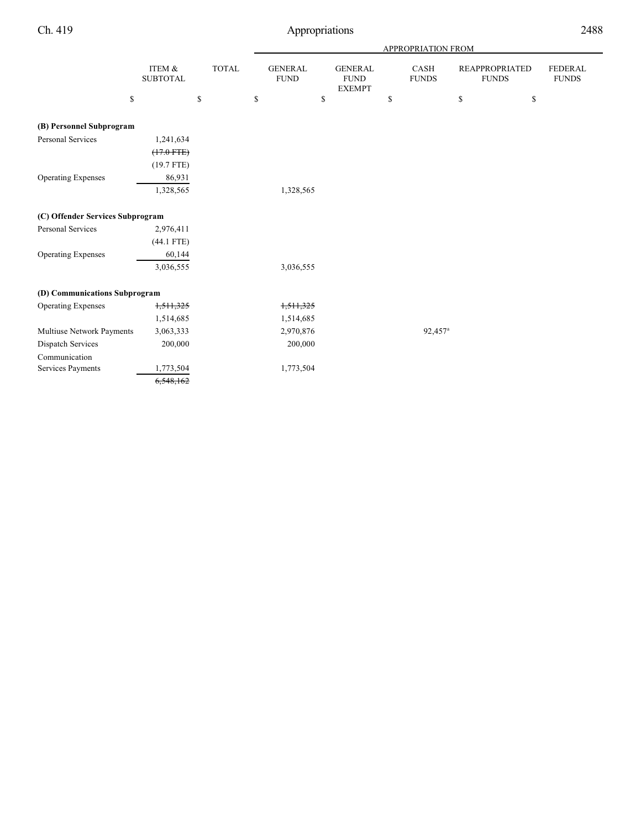|                                  |                           |              |                               |                                                | APPROPRIATION FROM          |               |                                       |                                |
|----------------------------------|---------------------------|--------------|-------------------------------|------------------------------------------------|-----------------------------|---------------|---------------------------------------|--------------------------------|
|                                  | ITEM &<br><b>SUBTOTAL</b> | <b>TOTAL</b> | <b>GENERAL</b><br><b>FUND</b> | <b>GENERAL</b><br><b>FUND</b><br><b>EXEMPT</b> | <b>CASH</b><br><b>FUNDS</b> |               | <b>REAPPROPRIATED</b><br><b>FUNDS</b> | <b>FEDERAL</b><br><b>FUNDS</b> |
| \$                               |                           | \$           | \$<br>\$                      |                                                | \$                          | ${\mathbb S}$ | \$                                    |                                |
| (B) Personnel Subprogram         |                           |              |                               |                                                |                             |               |                                       |                                |
| Personal Services                | 1,241,634                 |              |                               |                                                |                             |               |                                       |                                |
|                                  | $(17.0$ FTE)              |              |                               |                                                |                             |               |                                       |                                |
|                                  | $(19.7$ FTE)              |              |                               |                                                |                             |               |                                       |                                |
| <b>Operating Expenses</b>        | 86,931                    |              |                               |                                                |                             |               |                                       |                                |
|                                  | 1,328,565                 |              | 1,328,565                     |                                                |                             |               |                                       |                                |
| (C) Offender Services Subprogram |                           |              |                               |                                                |                             |               |                                       |                                |
| Personal Services                | 2,976,411                 |              |                               |                                                |                             |               |                                       |                                |
|                                  | $(44.1$ FTE)              |              |                               |                                                |                             |               |                                       |                                |
| <b>Operating Expenses</b>        | 60,144                    |              |                               |                                                |                             |               |                                       |                                |
|                                  | 3,036,555                 |              | 3,036,555                     |                                                |                             |               |                                       |                                |
| (D) Communications Subprogram    |                           |              |                               |                                                |                             |               |                                       |                                |
| <b>Operating Expenses</b>        | 1,511,325                 |              | 1,511,325                     |                                                |                             |               |                                       |                                |
|                                  | 1,514,685                 |              | 1,514,685                     |                                                |                             |               |                                       |                                |
| Multiuse Network Payments        | 3,063,333                 |              | 2,970,876                     |                                                | 92,457 <sup>a</sup>         |               |                                       |                                |
| <b>Dispatch Services</b>         | 200,000                   |              | 200,000                       |                                                |                             |               |                                       |                                |
| Communication                    |                           |              |                               |                                                |                             |               |                                       |                                |
| Services Payments                | 1,773,504                 |              | 1,773,504                     |                                                |                             |               |                                       |                                |
|                                  | 6,548,162                 |              |                               |                                                |                             |               |                                       |                                |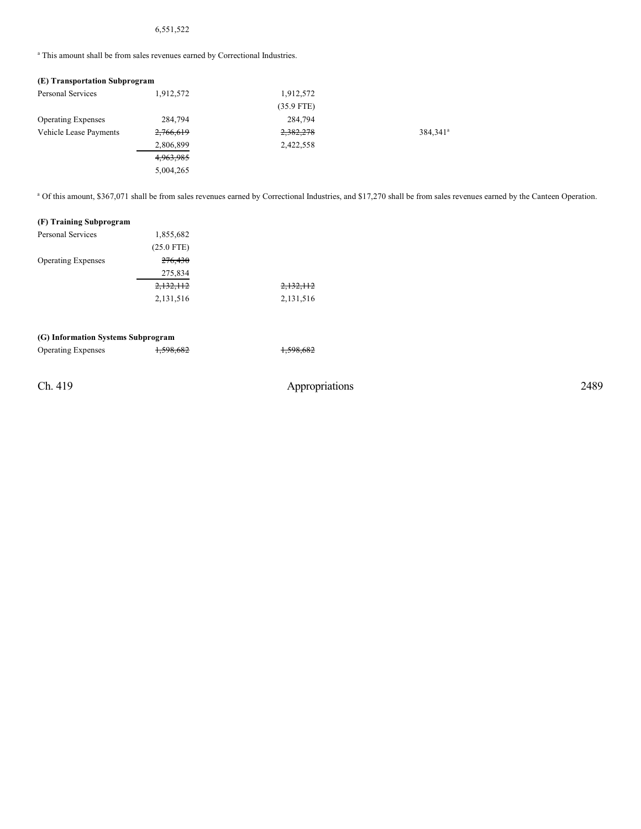## 6,551,522

<sup>a</sup> This amount shall be from sales revenues earned by Correctional Industries.

### **(E) Transportation Subprogram**

| Personal Services         | 1,912,572 | 1,912,572    |                      |
|---------------------------|-----------|--------------|----------------------|
|                           |           | $(35.9$ FTE) |                      |
| <b>Operating Expenses</b> | 284,794   | 284,794      |                      |
| Vehicle Lease Payments    | 2,766,619 | 2,382,278    | 384,341 <sup>a</sup> |
|                           | 2,806,899 | 2,422,558    |                      |
|                           | 4,963,985 |              |                      |
|                           | 5,004,265 |              |                      |

<sup>a</sup> Of this amount, \$367,071 shall be from sales revenues earned by Correctional Industries, and \$17,270 shall be from sales revenues earned by the Canteen Operation.

#### **(F) Training Subprogram**

| <b>Personal Services</b>  | 1,855,682            |           |
|---------------------------|----------------------|-----------|
|                           | $(25.0$ FTE)         |           |
| <b>Operating Expenses</b> | 276,430              |           |
|                           | 275,834              |           |
|                           | <del>2,132,112</del> | 2,132,112 |
|                           | 2,131,516            | 2,131,516 |

#### **(G) Information Systems Subprogram**

| <b>Operating Expenses</b> | 150000<br>1,370,002 | 150060<br>1,990,002 |
|---------------------------|---------------------|---------------------|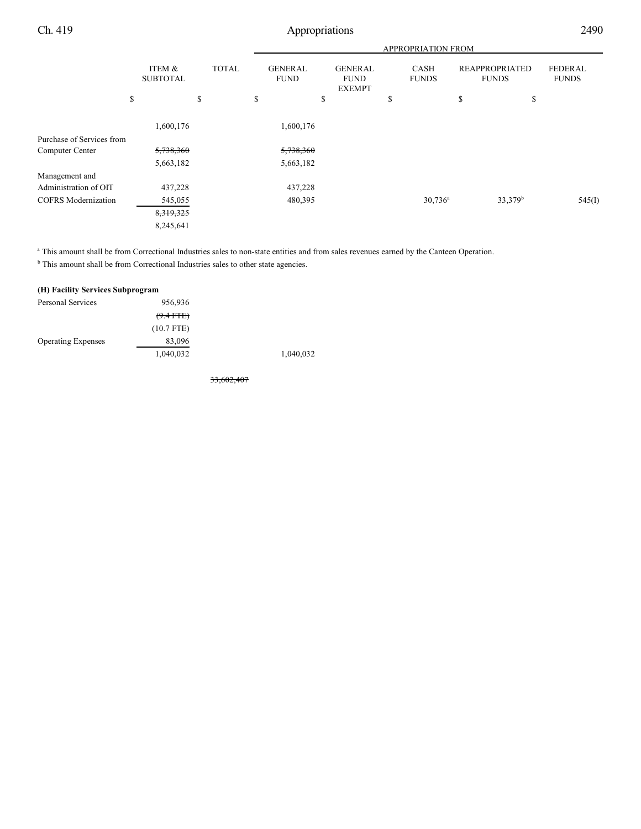|                            |                           |         |              |                               |                                                | <b>APPROPRIATION FROM</b>   |                                       |                         |
|----------------------------|---------------------------|---------|--------------|-------------------------------|------------------------------------------------|-----------------------------|---------------------------------------|-------------------------|
|                            | ITEM &<br><b>SUBTOTAL</b> |         | <b>TOTAL</b> | <b>GENERAL</b><br><b>FUND</b> | <b>GENERAL</b><br><b>FUND</b><br><b>EXEMPT</b> | <b>CASH</b><br><b>FUNDS</b> | <b>REAPPROPRIATED</b><br><b>FUNDS</b> | FEDERAL<br><b>FUNDS</b> |
|                            | \$                        | \$      |              | \$                            | \$                                             | \$                          | \$<br>\$                              |                         |
|                            | 1,600,176                 |         |              | 1,600,176                     |                                                |                             |                                       |                         |
| Purchase of Services from  |                           |         |              |                               |                                                |                             |                                       |                         |
| Computer Center            | 5,738,360                 |         |              | 5,738,360                     |                                                |                             |                                       |                         |
|                            | 5,663,182                 |         |              | 5,663,182                     |                                                |                             |                                       |                         |
| Management and             |                           |         |              |                               |                                                |                             |                                       |                         |
| Administration of OIT      |                           | 437,228 |              | 437,228                       |                                                |                             |                                       |                         |
| <b>COFRS</b> Modernization |                           | 545,055 |              | 480,395                       |                                                | $30,736^{\rm a}$            | 33,379 <sup>b</sup>                   | 545(I)                  |
|                            | 8,319,325                 |         |              |                               |                                                |                             |                                       |                         |
|                            | 8,245,641                 |         |              |                               |                                                |                             |                                       |                         |

<sup>a</sup> This amount shall be from Correctional Industries sales to non-state entities and from sales revenues earned by the Canteen Operation.

 $<sup>b</sup>$  This amount shall be from Correctional Industries sales to other state agencies.</sup>

#### **(H) Facility Services Subprogram**

| Personal Services         | 956,936      |           |
|---------------------------|--------------|-----------|
|                           | $(9.4$ FTE)  |           |
|                           | $(10.7$ FTE) |           |
| <b>Operating Expenses</b> | 83,096       |           |
|                           | 1,040,032    | 1,040,032 |
|                           |              |           |

33,602,407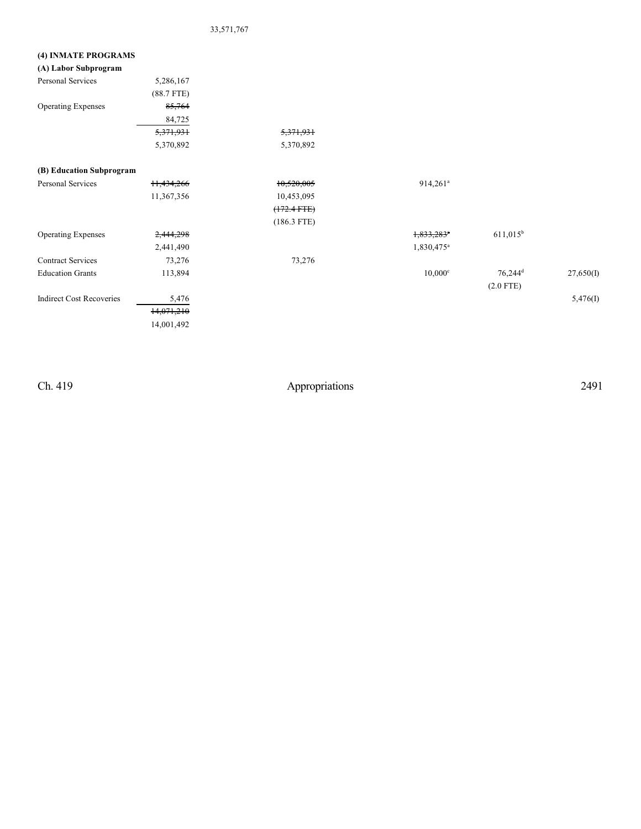## 33,571,767

## **(4) INMATE PROGRAMS**

| (A) Labor Subprogram            |              |               |                          |                     |           |
|---------------------------------|--------------|---------------|--------------------------|---------------------|-----------|
| Personal Services               | 5,286,167    |               |                          |                     |           |
|                                 | $(88.7$ FTE) |               |                          |                     |           |
| <b>Operating Expenses</b>       | 85,764       |               |                          |                     |           |
|                                 | 84,725       |               |                          |                     |           |
|                                 | 5,371,931    | 5,371,931     |                          |                     |           |
|                                 | 5,370,892    | 5,370,892     |                          |                     |           |
| (B) Education Subprogram        |              |               |                          |                     |           |
| Personal Services               | 11,434,266   | 10,520,005    | $914,261^a$              |                     |           |
|                                 | 11,367,356   | 10,453,095    |                          |                     |           |
|                                 |              | $(172.4$ FTE) |                          |                     |           |
|                                 |              | $(186.3$ FTE) |                          |                     |           |
| <b>Operating Expenses</b>       | 2,444,298    |               | $1,833,283$ <sup>*</sup> | $611,015^b$         |           |
|                                 | 2,441,490    |               | $1,830,475^{\circ}$      |                     |           |
| <b>Contract Services</b>        | 73,276       | 73,276        |                          |                     |           |
| <b>Education Grants</b>         | 113,894      |               | $10,000$ c               | 76,244 <sup>d</sup> | 27,650(I) |
|                                 |              |               |                          | $(2.0$ FTE)         |           |
| <b>Indirect Cost Recoveries</b> | 5,476        |               |                          |                     | 5,476(I)  |
|                                 | 14,071,210   |               |                          |                     |           |
|                                 | 14,001,492   |               |                          |                     |           |
|                                 |              |               |                          |                     |           |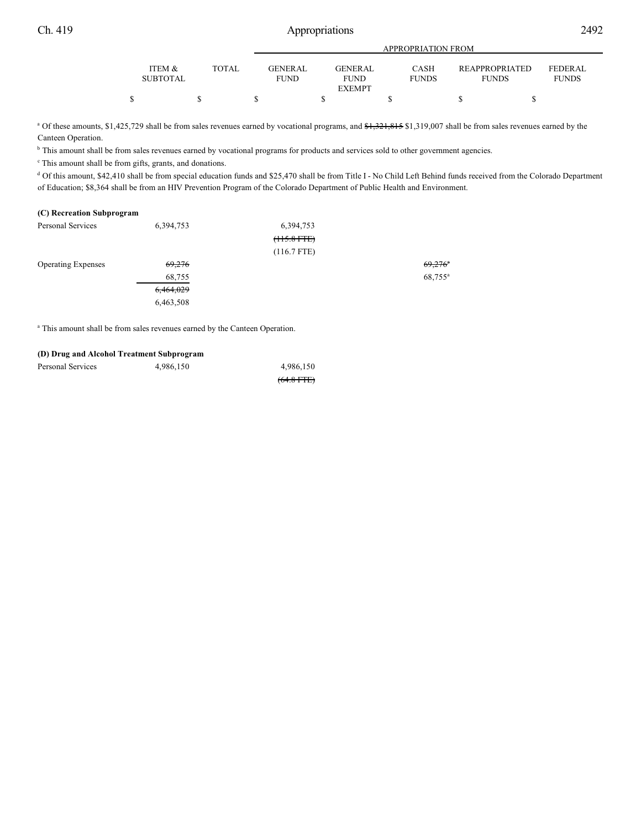|                           |              |                               |                        | APPROPRIATION FROM   |                                       |                                |
|---------------------------|--------------|-------------------------------|------------------------|----------------------|---------------------------------------|--------------------------------|
| ITEM &<br><b>SUBTOTAL</b> | <b>TOTAL</b> | <b>GENERAL</b><br><b>FUND</b> | GENERAL<br><b>FUND</b> | CASH<br><b>FUNDS</b> | <b>REAPPROPRIATED</b><br><b>FUNDS</b> | <b>FEDERAL</b><br><b>FUNDS</b> |
|                           |              |                               | <b>EXEMPT</b>          |                      |                                       |                                |
|                           |              |                               |                        |                      |                                       |                                |

<sup>a</sup> Of these amounts, \$1,425,729 shall be from sales revenues earned by vocational programs, and <del>\$1,321,815</del> \$1,319,007 shall be from sales revenues earned by the Canteen Operation.

<sup>b</sup> This amount shall be from sales revenues earned by vocational programs for products and services sold to other government agencies.

<sup>c</sup> This amount shall be from gifts, grants, and donations.

<sup>d</sup> Of this amount, \$42,410 shall be from special education funds and \$25,470 shall be from Title I - No Child Left Behind funds received from the Colorado Department of Education; \$8,364 shall be from an HIV Prevention Program of the Colorado Department of Public Health and Environment.

#### **(C) Recreation Subprogram**

| Personal Services         | 6,394,753         | 6,394,753            |                     |
|---------------------------|-------------------|----------------------|---------------------|
|                           |                   | ( <b>115.8 FTE</b> ) |                     |
|                           |                   | $(116.7$ FTE)        |                     |
| <b>Operating Expenses</b> | <del>69,276</del> |                      | 69,276              |
|                           | 68,755            |                      | 68,755 <sup>a</sup> |
|                           | 6,464,029         |                      |                     |
|                           | 6,463,508         |                      |                     |

<sup>a</sup> This amount shall be from sales revenues earned by the Canteen Operation.

#### **(D) Drug and Alcohol Treatment Subprogram**

| Personal Services | 4,986,150 | 4,986,150       |
|-------------------|-----------|-----------------|
|                   |           | $(64.8$ FTE $)$ |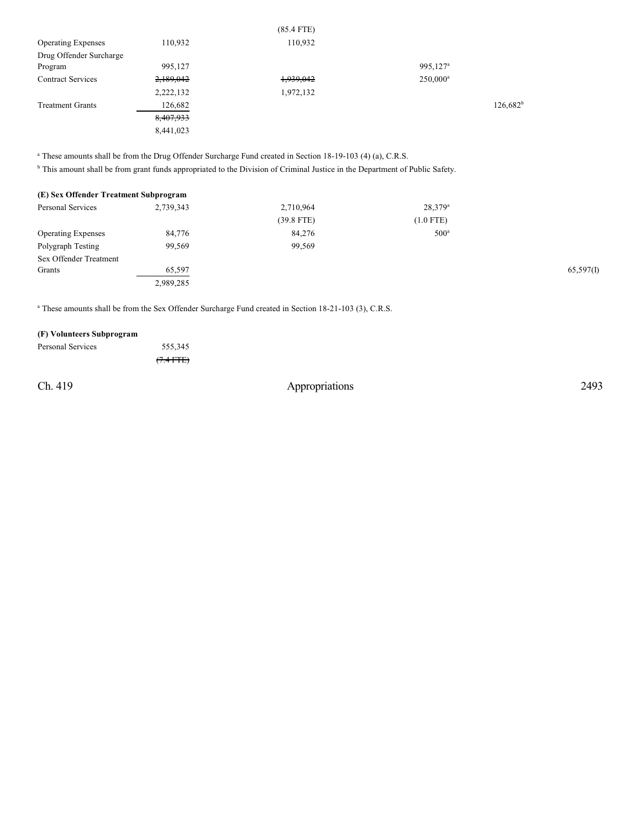|                           |           | $(85.4$ F IE) |                      |             |
|---------------------------|-----------|---------------|----------------------|-------------|
| <b>Operating Expenses</b> | 110,932   | 110,932       |                      |             |
| Drug Offender Surcharge   |           |               |                      |             |
| Program                   | 995,127   |               | 995,127 <sup>a</sup> |             |
| <b>Contract Services</b>  | 2,189,042 | 1,939,042     | $250,000^a$          |             |
|                           | 2,222,132 | 1,972,132     |                      |             |
| <b>Treatment Grants</b>   | 126,682   |               |                      | $126,682^b$ |
|                           | 8,407,933 |               |                      |             |
|                           | 8,441,023 |               |                      |             |
|                           |           |               |                      |             |

 $(85.4 \text{ F})$ 

<sup>a</sup> These amounts shall be from the Drug Offender Surcharge Fund created in Section 18-19-103 (4) (a), C.R.S.

<sup>b</sup> This amount shall be from grant funds appropriated to the Division of Criminal Justice in the Department of Public Safety.

| (E) Sex Offender Treatment Subprogram |           |              |                  |           |
|---------------------------------------|-----------|--------------|------------------|-----------|
| <b>Personal Services</b>              | 2,739,343 | 2,710,964    | $28,379^{\rm a}$ |           |
|                                       |           | $(39.8$ FTE) | $(1.0$ FTE)      |           |
| <b>Operating Expenses</b>             | 84,776    | 84,276       | 500 <sup>a</sup> |           |
| Polygraph Testing                     | 99,569    | 99,569       |                  |           |
| Sex Offender Treatment                |           |              |                  |           |
| Grants                                | 65,597    |              |                  | 65,597(1) |
|                                       | 2,989,285 |              |                  |           |

<sup>a</sup> These amounts shall be from the Sex Offender Surcharge Fund created in Section 18-21-103 (3), C.R.S.

## **(F) Volunteers Subprogram**

| Personal Services | 555,345             |
|-------------------|---------------------|
|                   | $(7.4 \text{ FFE})$ |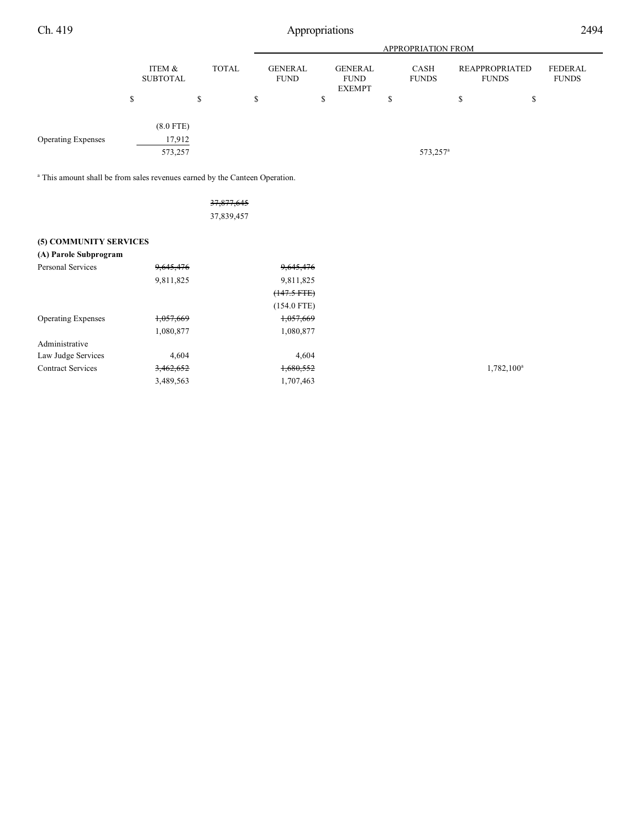|                           |                           |              |                               |                                                | <b>APPROPRIATION FROM</b> |                                |                         |
|---------------------------|---------------------------|--------------|-------------------------------|------------------------------------------------|---------------------------|--------------------------------|-------------------------|
|                           | ITEM &<br><b>SUBTOTAL</b> | <b>TOTAL</b> | <b>GENERAL</b><br><b>FUND</b> | <b>GENERAL</b><br><b>FUND</b><br><b>EXEMPT</b> | CASH<br><b>FUNDS</b>      | REAPPROPRIATED<br><b>FUNDS</b> | FEDERAL<br><b>FUNDS</b> |
|                           | S                         | \$           | \$                            | \$                                             | \$                        | $\mathbf{C}$<br>ъ<br>۰D        |                         |
|                           | $(8.0$ FTE)               |              |                               |                                                |                           |                                |                         |
| <b>Operating Expenses</b> | 17,912<br>573,257         |              |                               |                                                | 573,257 <sup>a</sup>      |                                |                         |
|                           |                           |              |                               |                                                |                           |                                |                         |

<sup>a</sup> This amount shall be from sales revenues earned by the Canteen Operation.

|                           |           | 37,877,645    |           |
|---------------------------|-----------|---------------|-----------|
|                           |           | 37,839,457    |           |
| (5) COMMUNITY SERVICES    |           |               |           |
| (A) Parole Subprogram     |           |               |           |
| <b>Personal Services</b>  | 9,645,476 | 9,645,476     |           |
|                           | 9,811,825 | 9,811,825     |           |
|                           |           | $(147.5 FTE)$ |           |
|                           |           | $(154.0$ FTE) |           |
| <b>Operating Expenses</b> | 1,057,669 | 1,057,669     |           |
|                           | 1,080,877 | 1,080,877     |           |
| Administrative            |           |               |           |
| Law Judge Services        | 4,604     | 4,604         |           |
| <b>Contract Services</b>  | 3,462,652 | 1,680,552     | 1,782,100 |
|                           | 3,489,563 | 1,707,463     |           |

 $1,782,100^a$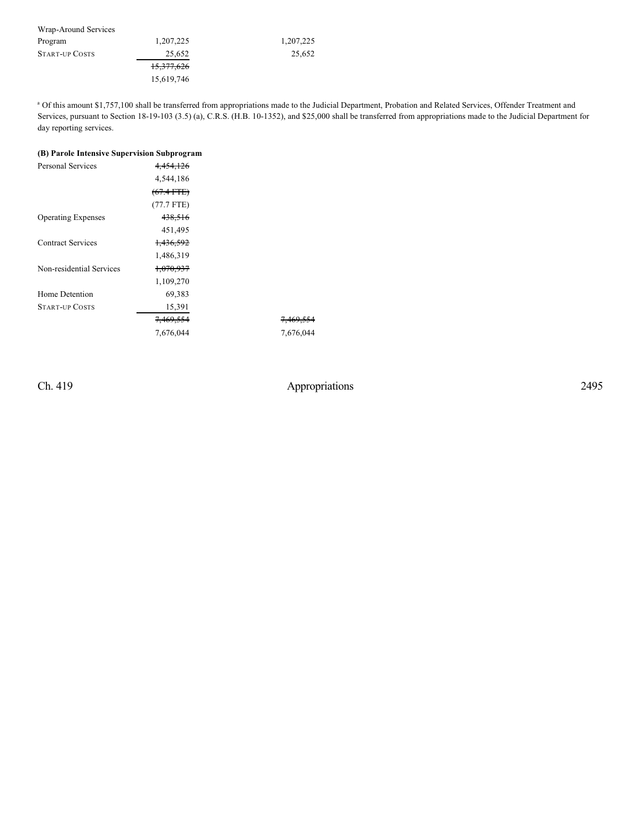| Wrap-Around Services  |            |           |
|-----------------------|------------|-----------|
| Program               | 1,207,225  | 1,207,225 |
| <b>START-UP COSTS</b> | 25,652     | 25,652    |
|                       | 15,377,626 |           |
|                       | 15,619,746 |           |

<sup>a</sup> Of this amount \$1,757,100 shall be transferred from appropriations made to the Judicial Department, Probation and Related Services, Offender Treatment and Services, pursuant to Section 18-19-103 (3.5) (a), C.R.S. (H.B. 10-1352), and \$25,000 shall be transferred from appropriations made to the Judicial Department for day reporting services.

# **(B) Parole Intensive Supervision Subprogram**

| <b>Personal Services</b>  | 4,454,126            |                      |
|---------------------------|----------------------|----------------------|
|                           | 4,544,186            |                      |
|                           | $(67.4$ FTE)         |                      |
|                           | $(77.7$ FTE)         |                      |
| <b>Operating Expenses</b> | 438,516              |                      |
|                           | 451,495              |                      |
| <b>Contract Services</b>  | 1,436,592            |                      |
|                           | 1,486,319            |                      |
| Non-residential Services  | 1,070,937            |                      |
|                           | 1,109,270            |                      |
| Home Detention            | 69,383               |                      |
| <b>START-UP COSTS</b>     | 15,391               |                      |
|                           | <del>7,469,554</del> | <del>7,469,554</del> |
|                           | 7,676,044            | 7,676,044            |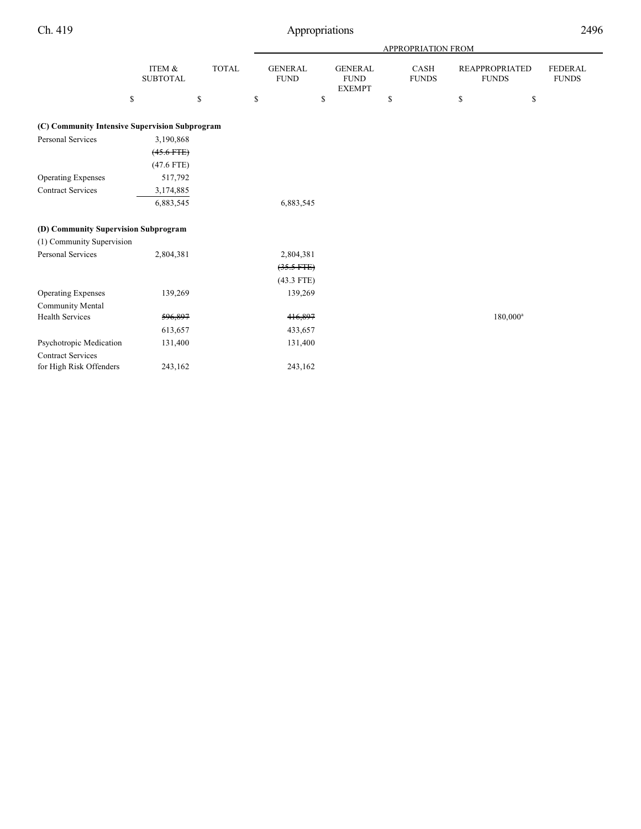| tions                                          |                                  |                                            |                                     | 2496 |
|------------------------------------------------|----------------------------------|--------------------------------------------|-------------------------------------|------|
|                                                | APPROPRIATION FROM               |                                            |                                     |      |
| <b>GENERAL</b><br><b>FUND</b><br><b>EXEMPT</b> | <b>CASH</b><br><b>FUNDS</b><br>S | <b>REAPPROPRIATED</b><br><b>FUNDS</b><br>S | <b>FEDERAL</b><br><b>FUNDS</b><br>S |      |

# **(C) Community Intensive Supervision Subprogram**

ITEM $\&$ SUBTOTAL

| (C) Community Intensive Supervision Subprogram |                 |              |             |
|------------------------------------------------|-----------------|--------------|-------------|
| Personal Services                              | 3,190,868       |              |             |
|                                                | $(45.6$ FTE $)$ |              |             |
|                                                | $(47.6$ FTE)    |              |             |
| <b>Operating Expenses</b>                      | 517,792         |              |             |
| <b>Contract Services</b>                       | 3,174,885       |              |             |
|                                                | 6,883,545       | 6,883,545    |             |
| (D) Community Supervision Subprogram           |                 |              |             |
| (1) Community Supervision                      |                 |              |             |
| Personal Services                              | 2,804,381       | 2,804,381    |             |
|                                                |                 | $(35.5$ FTE) |             |
|                                                |                 | $(43.3$ FTE) |             |
| <b>Operating Expenses</b>                      | 139,269         | 139,269      |             |
| <b>Community Mental</b>                        |                 |              |             |
| <b>Health Services</b>                         | 596,897         | 416,897      | $180,000^a$ |
|                                                | 613,657         | 433,657      |             |
| Psychotropic Medication                        | 131,400         | 131,400      |             |
| <b>Contract Services</b>                       |                 |              |             |
| for High Risk Offenders                        | 243,162         | 243,162      |             |

TOTAL GENERAL

 $\qquad \qquad$  \$ \$ \$ \$

FUND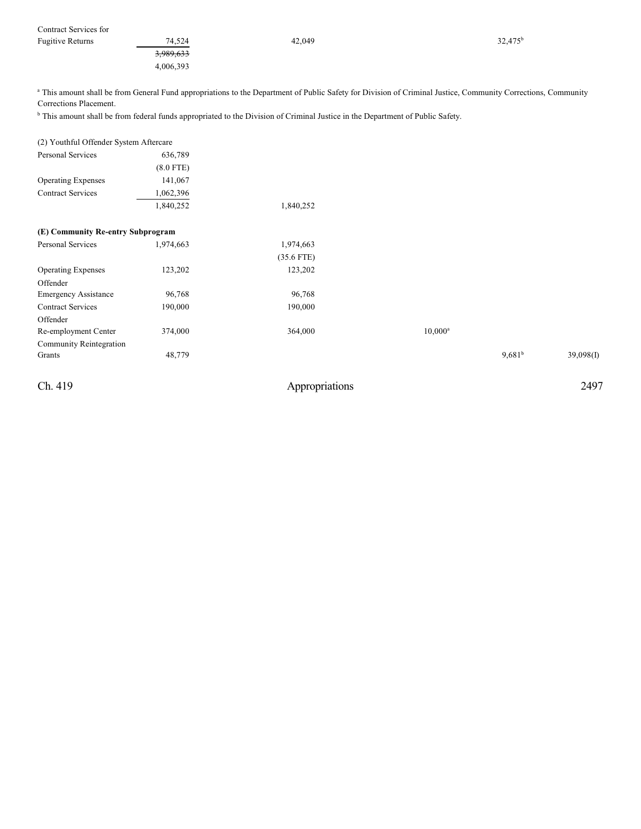| Contract Services for   |                      |        |                  |
|-------------------------|----------------------|--------|------------------|
| <b>Fugitive Returns</b> | 74,524               | 42,049 | $32,475^{\rm b}$ |
|                         | <del>3,989,633</del> |        |                  |
|                         | 4,006,393            |        |                  |

<sup>a</sup> This amount shall be from General Fund appropriations to the Department of Public Safety for Division of Criminal Justice, Community Corrections, Community Corrections Placement.

<sup>b</sup> This amount shall be from federal funds appropriated to the Division of Criminal Justice in the Department of Public Safety.

| (2) Youthful Offender System Aftercare |             |                |            |           |           |
|----------------------------------------|-------------|----------------|------------|-----------|-----------|
| Personal Services                      | 636,789     |                |            |           |           |
|                                        | $(8.0$ FTE) |                |            |           |           |
| <b>Operating Expenses</b>              | 141,067     |                |            |           |           |
| <b>Contract Services</b>               | 1,062,396   |                |            |           |           |
|                                        | 1,840,252   | 1,840,252      |            |           |           |
| (E) Community Re-entry Subprogram      |             |                |            |           |           |
| Personal Services                      | 1,974,663   | 1,974,663      |            |           |           |
|                                        |             | $(35.6$ FTE)   |            |           |           |
| <b>Operating Expenses</b>              | 123,202     | 123,202        |            |           |           |
| Offender                               |             |                |            |           |           |
| <b>Emergency Assistance</b>            | 96,768      | 96,768         |            |           |           |
| <b>Contract Services</b>               | 190,000     | 190,000        |            |           |           |
| Offender                               |             |                |            |           |           |
| Re-employment Center                   | 374,000     | 364,000        | $10,000^a$ |           |           |
| Community Reintegration                |             |                |            |           |           |
| Grants                                 | 48,779      |                |            | $9,681^b$ | 39,098(1) |
| Ch. 419                                |             | Appropriations |            |           | 2497      |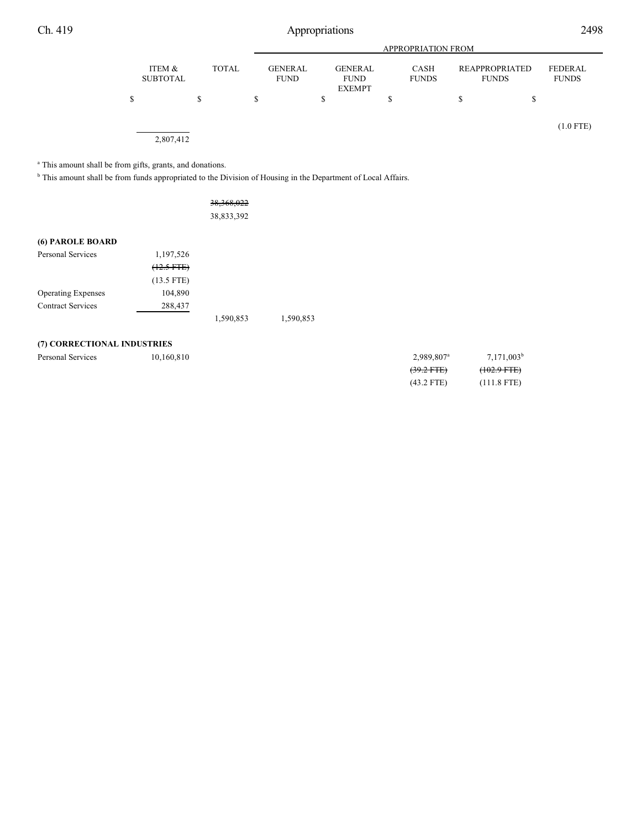|   |                           |   |              | <b>APPROPRIATION FROM</b> |                               |   |                                                |    |                             |                                |                         |
|---|---------------------------|---|--------------|---------------------------|-------------------------------|---|------------------------------------------------|----|-----------------------------|--------------------------------|-------------------------|
|   | ITEM &<br><b>SUBTOTAL</b> |   | <b>TOTAL</b> |                           | <b>GENERAL</b><br><b>FUND</b> |   | <b>GENERAL</b><br><b>FUND</b><br><b>EXEMPT</b> |    | <b>CASH</b><br><b>FUNDS</b> | REAPPROPRIATED<br><b>FUNDS</b> | FEDERAL<br><b>FUNDS</b> |
| S |                           | S |              | \$                        |                               | S |                                                | \$ |                             | \$<br>\$                       |                         |
|   | 2,807,412                 |   |              |                           |                               |   |                                                |    |                             |                                | $(1.0$ FTE)             |

<sup>a</sup> This amount shall be from gifts, grants, and donations.

<sup>b</sup> This amount shall be from funds appropriated to the Division of Housing in the Department of Local Affairs.

|                           |                       | 38, 368, 022<br>38,833,392 |           |
|---------------------------|-----------------------|----------------------------|-----------|
| (6) PAROLE BOARD          |                       |                            |           |
| Personal Services         | 1,197,526             |                            |           |
|                           | <del>(12.5 FTE)</del> |                            |           |
|                           | $(13.5$ FTE)          |                            |           |
| <b>Operating Expenses</b> | 104,890               |                            |           |
| <b>Contract Services</b>  | 288,437               |                            |           |
|                           |                       | 1,590,853                  | 1,590,853 |

## **(7) CORRECTIONAL INDUSTRIES**

|                   |            | $(20.2 \text{ F/T})$     | $(102.0 \text{ FFR})$ |
|-------------------|------------|--------------------------|-----------------------|
| Personal Services | 10.160.810 | $2,989,807$ <sup>a</sup> | 7,171,003             |

| 2,989,807 <sup>a</sup> | $7,171,003^b$ |
|------------------------|---------------|
| $(39.2$ FTE)           | $(102.9 FTE)$ |
| $(43.2$ FTE)           | $(111.8$ FTE) |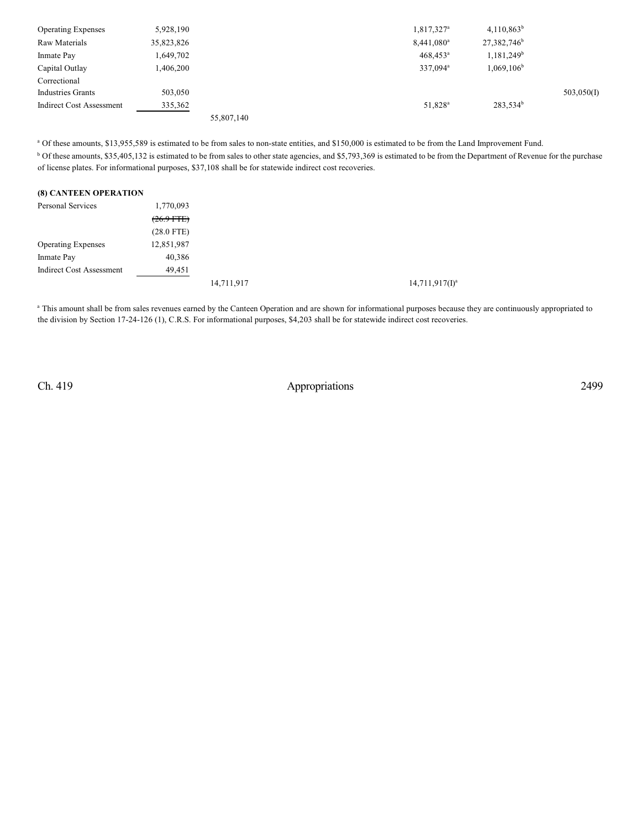| <b>Operating Expenses</b>       | 5,928,190  |            | 1,817,327 <sup>a</sup> | $4,110,863^b$           |            |
|---------------------------------|------------|------------|------------------------|-------------------------|------------|
| Raw Materials                   | 35,823,826 |            | $8,441,080^a$          | 27,382,746 <sup>b</sup> |            |
| Inmate Pay                      | 1,649,702  |            | $468,453$ <sup>a</sup> | 1,181,249 <sup>b</sup>  |            |
| Capital Outlay                  | 1,406,200  |            | 337,094 <sup>a</sup>   | $1,069,106^b$           |            |
| Correctional                    |            |            |                        |                         |            |
| <b>Industries Grants</b>        | 503,050    |            |                        |                         | 503,050(I) |
| <b>Indirect Cost Assessment</b> | 335,362    |            | 51,828 <sup>a</sup>    | 283,534 <sup>b</sup>    |            |
|                                 |            | 55,807,140 |                        |                         |            |

<sup>a</sup> Of these amounts, \$13,955,589 is estimated to be from sales to non-state entities, and \$150,000 is estimated to be from the Land Improvement Fund.

<sup>b</sup> Of these amounts, \$35,405,132 is estimated to be from sales to other state agencies, and \$5,793,369 is estimated to be from the Department of Revenue for the purchase of license plates. For informational purposes, \$37,108 shall be for statewide indirect cost recoveries.

#### **(8) CANTEEN OPERATION**

| Personal Services               | 1,770,093    |            |                   |
|---------------------------------|--------------|------------|-------------------|
|                                 | $(26.9$ FTE) |            |                   |
|                                 | $(28.0$ FTE) |            |                   |
| <b>Operating Expenses</b>       | 12,851,987   |            |                   |
| Inmate Pay                      | 40,386       |            |                   |
| <b>Indirect Cost Assessment</b> | 49,451       |            |                   |
|                                 |              | 14,711,917 | $14,711,917(1)^a$ |

<sup>a</sup> This amount shall be from sales revenues earned by the Canteen Operation and are shown for informational purposes because they are continuously appropriated to the division by Section 17-24-126 (1), C.R.S. For informational purposes, \$4,203 shall be for statewide indirect cost recoveries.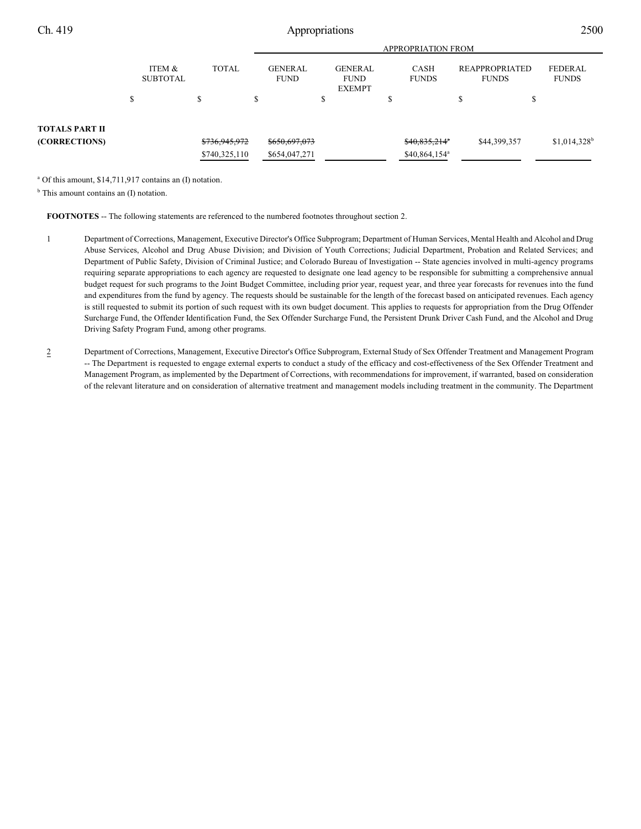|                       |                           |               |                               | <b>APPROPRIATION FROM</b> |                                                |  |                             |                 |                                       |              |                           |
|-----------------------|---------------------------|---------------|-------------------------------|---------------------------|------------------------------------------------|--|-----------------------------|-----------------|---------------------------------------|--------------|---------------------------|
|                       | ITEM &<br><b>SUBTOTAL</b> | <b>TOTAL</b>  | <b>GENERAL</b><br><b>FUND</b> |                           | <b>GENERAL</b><br><b>FUND</b><br><b>EXEMPT</b> |  | <b>CASH</b><br><b>FUNDS</b> |                 | <b>REAPPROPRIATED</b><br><b>FUNDS</b> |              | FEDERAL<br><b>FUNDS</b>   |
|                       | S                         |               | \$                            |                           | \$                                             |  |                             |                 |                                       | Φ            |                           |
| <b>TOTALS PART II</b> |                           |               |                               |                           |                                                |  |                             |                 |                                       |              |                           |
| (CORRECTIONS)         |                           | \$736,945,972 |                               | \$650,697,073             |                                                |  |                             | \$40,835,214"   |                                       | \$44,399,357 | $$1,014,328$ <sup>b</sup> |
|                       |                           | \$740,325,110 |                               | \$654,047,271             |                                                |  |                             | $$40,864,154^a$ |                                       |              |                           |

<sup>a</sup> Of this amount, \$14,711,917 contains an (I) notation.

<sup>b</sup> This amount contains an (I) notation.

**FOOTNOTES** -- The following statements are referenced to the numbered footnotes throughout section 2.

- 1 Department of Corrections, Management, Executive Director's Office Subprogram; Department of Human Services, Mental Health and Alcohol and Drug Abuse Services, Alcohol and Drug Abuse Division; and Division of Youth Corrections; Judicial Department, Probation and Related Services; and Department of Public Safety, Division of Criminal Justice; and Colorado Bureau of Investigation -- State agencies involved in multi-agency programs requiring separate appropriations to each agency are requested to designate one lead agency to be responsible for submitting a comprehensive annual budget request for such programs to the Joint Budget Committee, including prior year, request year, and three year forecasts for revenues into the fund and expenditures from the fund by agency. The requests should be sustainable for the length of the forecast based on anticipated revenues. Each agency is still requested to submit its portion of such request with its own budget document. This applies to requests for appropriation from the Drug Offender Surcharge Fund, the Offender Identification Fund, the Sex Offender Surcharge Fund, the Persistent Drunk Driver Cash Fund, and the Alcohol and Drug Driving Safety Program Fund, among other programs.
- 2 Department of Corrections, Management, Executive Director's Office Subprogram, External Study of Sex Offender Treatment and Management Program -- The Department is requested to engage external experts to conduct a study of the efficacy and cost-effectiveness of the Sex Offender Treatment and Management Program, as implemented by the Department of Corrections, with recommendations for improvement, if warranted, based on consideration of the relevant literature and on consideration of alternative treatment and management models including treatment in the community. The Department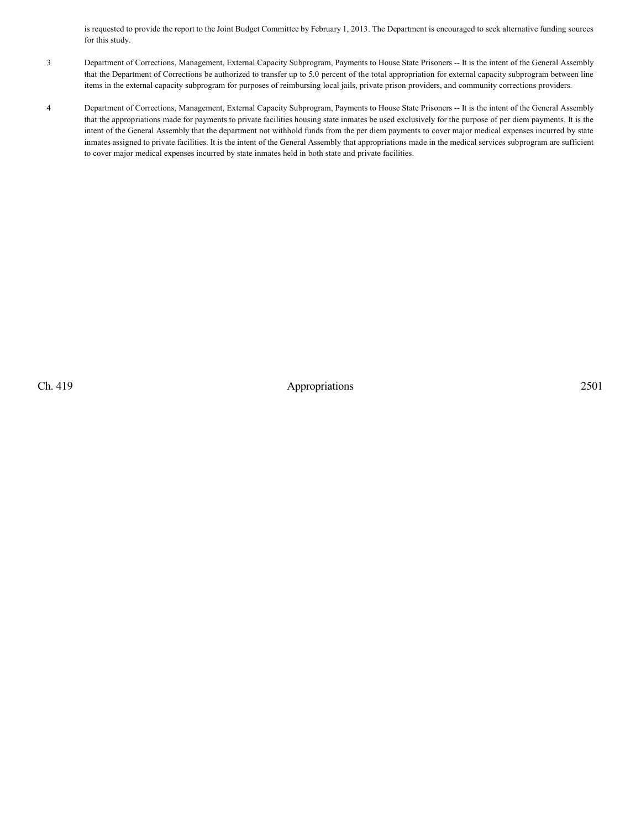is requested to provide the report to the Joint Budget Committee by February 1, 2013. The Department is encouraged to seek alternative funding sources for this study.

- 3 Department of Corrections, Management, External Capacity Subprogram, Payments to House State Prisoners -- It is the intent of the General Assembly that the Department of Corrections be authorized to transfer up to 5.0 percent of the total appropriation for external capacity subprogram between line items in the external capacity subprogram for purposes of reimbursing local jails, private prison providers, and community corrections providers.
- 4 Department of Corrections, Management, External Capacity Subprogram, Payments to House State Prisoners -- It is the intent of the General Assembly that the appropriations made for payments to private facilities housing state inmates be used exclusively for the purpose of per diem payments. It is the intent of the General Assembly that the department not withhold funds from the per diem payments to cover major medical expenses incurred by state inmates assigned to private facilities. It is the intent of the General Assembly that appropriations made in the medical services subprogram are sufficient to cover major medical expenses incurred by state inmates held in both state and private facilities.